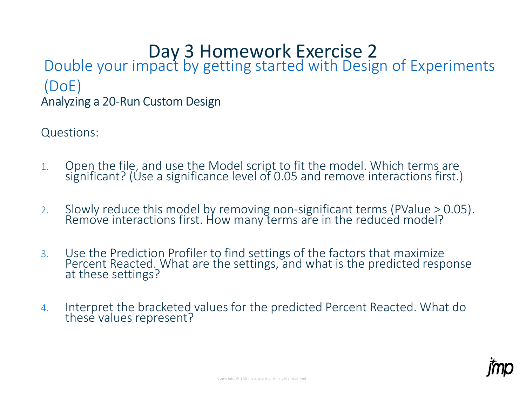## Day 3 Homework Exercise 2 Analyzing a 20-Run Custom Design **Day 3 Homework Exercise 2**<br>uble your impact by getting started with Design of Experiments<br>DE)<br>yzing a 20-Run Custom Design<br>stions:<br>Open the file, and use the Model script to fit the model. Which terms are<br>significant? (Us **Day 3 Homework Exercise 2.**<br>
CODE)<br>
Analyzing a 20-Run Custom Design<br>
Questions:<br>
2. Open the file, and use the Model script to fit the model. Which terms are<br>
1. Open the file, and use the Model script to fit the model. Double your impact by getting started with Design of Experiments (DoE)

Questions:

- 1. Open the file, and use the Model script to fit the model. Which terms are significant? (Use a significance level of 0.05 and remove interactions first.)
- 
- Fernoving Hon-signmeant terms (F value 50.05).<br>Sow many terms are in the reduced model?<br>Despite settings, and what is the predicted response<br>es for the predicted Percent Reacted. What do 3. Use the Prediction Profiler to find settings of the factors that maximize Percent Reacted. What are the settings, and what is the predicted response at these settings?
- 4. Interpret the bracketed values for the predicted Percent Reacted. What do these values represent?

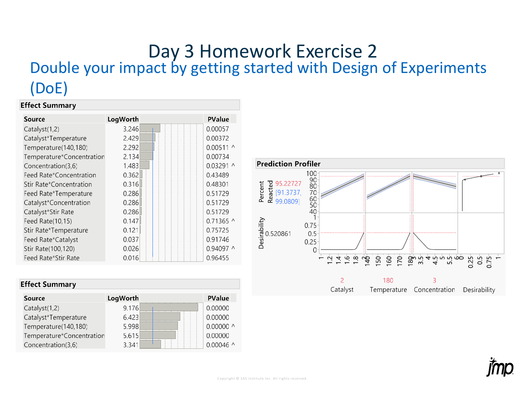## Day 3 Homework Exercise 2<br>Double your impact by getting started with Design of Experiments  $(DoE)$

#### **Effect Summary**

| <b>Source</b>             | LogWorth | <b>PValue</b>    |
|---------------------------|----------|------------------|
| Catalyst(1,2)             | 3.246    | 0.00057          |
| Catalyst*Temperature      | 2.429    | 0.00372          |
| Temperature(140,180)      | 2.292    | $0.00511 \wedge$ |
| Temperature*Concentration | 2.134    | 0.00734          |
| Concentration(3,6)        | 1.483    | 0.03291 ^        |
| Feed Rate*Concentration   | 0.362    | 0.43489          |
| Stir Rate*Concentration   | 0.316    | 0.48301          |
| Feed Rate*Temperature     | 0.286    | 0.51729          |
| Catalyst*Concentration    | 0.286    | 0.51729          |
| Catalyst*Stir Rate        | 0.286    | 0.51729          |
| Feed Rate(10,15)          | 0.147    | $0.71365$ ^      |
| Stir Rate*Temperature     | 0.121    | 0.75725          |
| Feed Rate*Catalyst        | 0.037    | 0.91746          |
| Stir Rate(100,120)        | 0.026    | 0.94097 ^        |
| Feed Rate*Stir Rate       | 0.016    | 0.96455          |

| <b>Effect Summary</b>     |          |                     |  |  |
|---------------------------|----------|---------------------|--|--|
| <b>Source</b>             | LogWorth | <b>PValue</b>       |  |  |
| Catalyst(1,2)             | 9.176    | 0.00000             |  |  |
| Catalyst*Temperature      | 6.423    | 0.00000             |  |  |
| Temperature(140,180)      | 5.998    | 0.00000 $^{\wedge}$ |  |  |
| Temperature*Concentration | 5.615    | 0.00000             |  |  |
| Concentration(3,6)        | 3.341    | 0.00046 $\land$     |  |  |